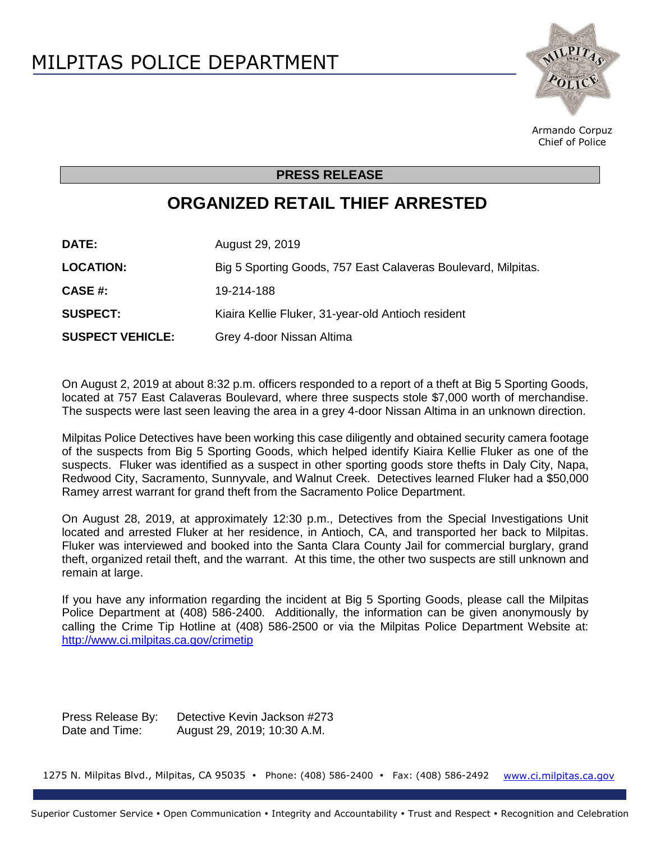

Armando Corpuz Chief of Police

## **PRESS RELEASE**

## **ORGANIZED RETAIL THIEF ARRESTED**

**DATE:** August 29, 2019 LOCATION: Big 5 Sporting Goods, 757 East Calaveras Boulevard, Milpitas. **CASE #:** 19-214-188 **SUSPECT:** Kiaira Kellie Fluker, 31-year-old Antioch resident **SUSPECT VEHICLE:** Grey 4-door Nissan Altima

On August 2, 2019 at about 8:32 p.m. officers responded to a report of a theft at Big 5 Sporting Goods, located at 757 East Calaveras Boulevard, where three suspects stole \$7,000 worth of merchandise. The suspects were last seen leaving the area in a grey 4-door Nissan Altima in an unknown direction.

Milpitas Police Detectives have been working this case diligently and obtained security camera footage of the suspects from Big 5 Sporting Goods, which helped identify Kiaira Kellie Fluker as one of the suspects. Fluker was identified as a suspect in other sporting goods store thefts in Daly City, Napa, Redwood City, Sacramento, Sunnyvale, and Walnut Creek. Detectives learned Fluker had a \$50,000 Ramey arrest warrant for grand theft from the Sacramento Police Department.

On August 28, 2019, at approximately 12:30 p.m., Detectives from the Special Investigations Unit located and arrested Fluker at her residence, in Antioch, CA, and transported her back to Milpitas. Fluker was interviewed and booked into the Santa Clara County Jail for commercial burglary, grand theft, organized retail theft, and the warrant. At this time, the other two suspects are still unknown and remain at large.

If you have any information regarding the incident at Big 5 Sporting Goods, please call the Milpitas Police Department at (408) 586-2400. Additionally, the information can be given anonymously by calling the Crime Tip Hotline at (408) 586-2500 or via the Milpitas Police Department Website at: <http://www.ci.milpitas.ca.gov/crimetip>

Press Release By: Detective Kevin Jackson #273 Date and Time: August 29, 2019; 10:30 A.M.

1275 N. Milpitas Blvd., Milpitas, CA 95035 · Phone: (408) 586-2400 · Fax: (408) 586-2492 [www.ci.milpitas.ca.gov](file://///callisto/city_mgr/City%20Manager)